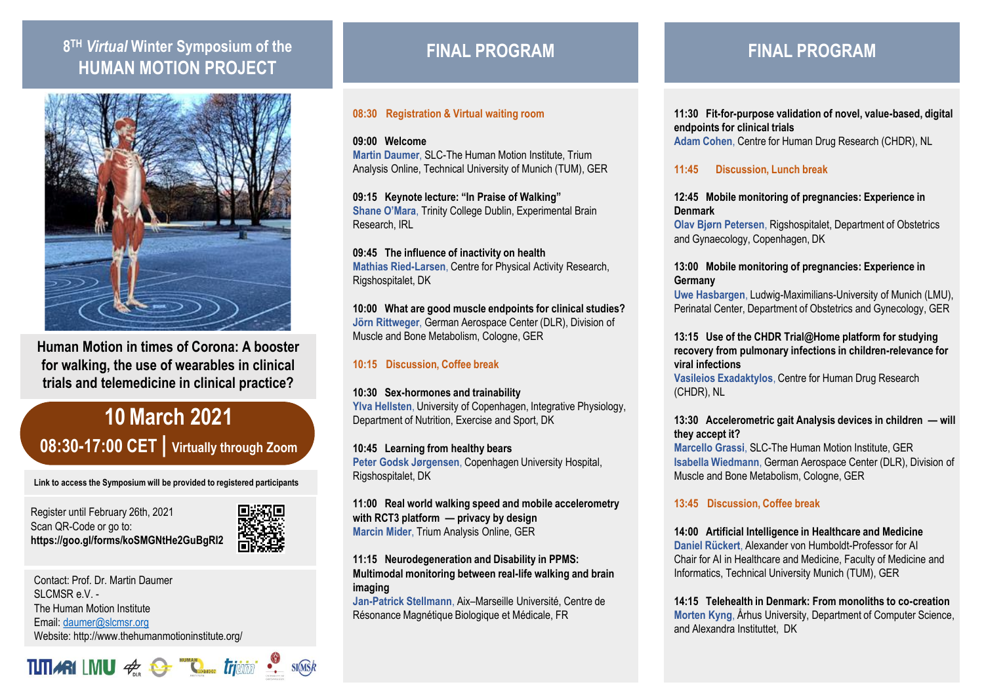## **8 TH** *Virtual* **Winter Symposium of the HUMAN MOTION PROJECT**



**Human Motion in times of Corona: A booster for walking, the use of wearables in clinical trials and telemedicine in clinical practice?**

# **10March 2021 08:30-17:00 CET | Virtually through Zoom**

**Link to access the Symposium will be provided to registered participants** 

Register until February 26th, 2021 Scan QR-Code or go to: **https://goo.gl/forms/koSMGNtHe2GuBgRI2**



Contact: Prof. Dr. Martin Daumer  $SICMSR$  e.V. -The Human Motion Institute Email: [daumer@slcmsr.org](mailto:daumer@slcmsr.org) Website: http://www.thehumanmotioninstitute.org/

**TITIARILMU**  $\#$   $\bullet$  **"Contact Trjuing**  $\bullet$  starsk

## **FINAL PROGRAM**

#### **08:30 Registration & Virtual waiting room**

**09:00 Welcome Martin Daumer**, SLC-The Human Motion Institute, Trium Analysis Online, Technical University of Munich (TUM), GER

**09:15 Keynote lecture: "In Praise of Walking" Shane O'Mara**, Trinity College Dublin, Experimental Brain Research, IRL

**09:45 The influence of inactivity on health Mathias Ried-Larsen**, Centre for Physical Activity Research, Rigshospitalet, DK

**10:00 What are good muscle endpoints for clinical studies? Jörn Rittweger**, German Aerospace Center (DLR), Division of Muscle and Bone Metabolism, Cologne, GER

### **10:15 Discussion, Coffee break**

#### **10:30 Sex-hormones and trainability**

**Ylva Hellsten**, University of Copenhagen, Integrative Physiology, Department of Nutrition, Exercise and Sport, DK

**10:45 Learning from healthy bears Peter Godsk Jørgensen**, Copenhagen University Hospital, Rigshospitalet, DK

**11:00 Real world walking speed and mobile accelerometry with RCT3 platform — privacy by design Marcin Mider**, Trium Analysis Online, GER

**11:15 Neurodegeneration and Disability in PPMS: Multimodal monitoring between real-life walking and brain imaging**

**Jan-Patrick Stellmann**, Aix–Marseille Université, Centre de Résonance Magnétique Biologique et Médicale, FR

## **FINAL PROGRAM**

**11:30 Fit-for-purpose validation of novel, value-based, digital endpoints for clinical trials Adam Cohen**, Centre for Human Drug Research (CHDR), NL

**11:45 Discussion, Lunch break**

**12:45 Mobile monitoring of pregnancies: Experience in Denmark**

**Olav Bjørn Petersen**, Rigshospitalet, Department of Obstetrics and Gynaecology, Copenhagen, DK

#### **13:00 Mobile monitoring of pregnancies: Experience in Germany**

**Uwe Hasbargen**, Ludwig-Maximilians-University of Munich (LMU), Perinatal Center, Department of Obstetrics and Gynecology, GER

**13:15 Use of the CHDR Trial@Home platform for studying recovery from pulmonary infections in children-relevance for viral infections**

**Vasileios Exadaktylos**, Centre for Human Drug Research (CHDR), NL

#### **13:30 Accelerometric gait Analysis devices in children — will they accept it?**

**Marcello Grassi**, SLC-The Human Motion Institute, GER **Isabella Wiedmann**, German Aerospace Center (DLR), Division of Muscle and Bone Metabolism, Cologne, GER

### **13:45 Discussion, Coffee break**

### **14:00 Artificial Intelligence in Healthcare and Medicine**

**Daniel Rückert**, Alexander von Humboldt-Professor for AI Chair for AI in Healthcare and Medicine, Faculty of Medicine and Informatics, Technical University Munich (TUM), GER

**14:15 Telehealth in Denmark: From monoliths to co-creation Morten Kyng**, Århus University, Department of Computer Science, and Alexandra Instituttet, DK